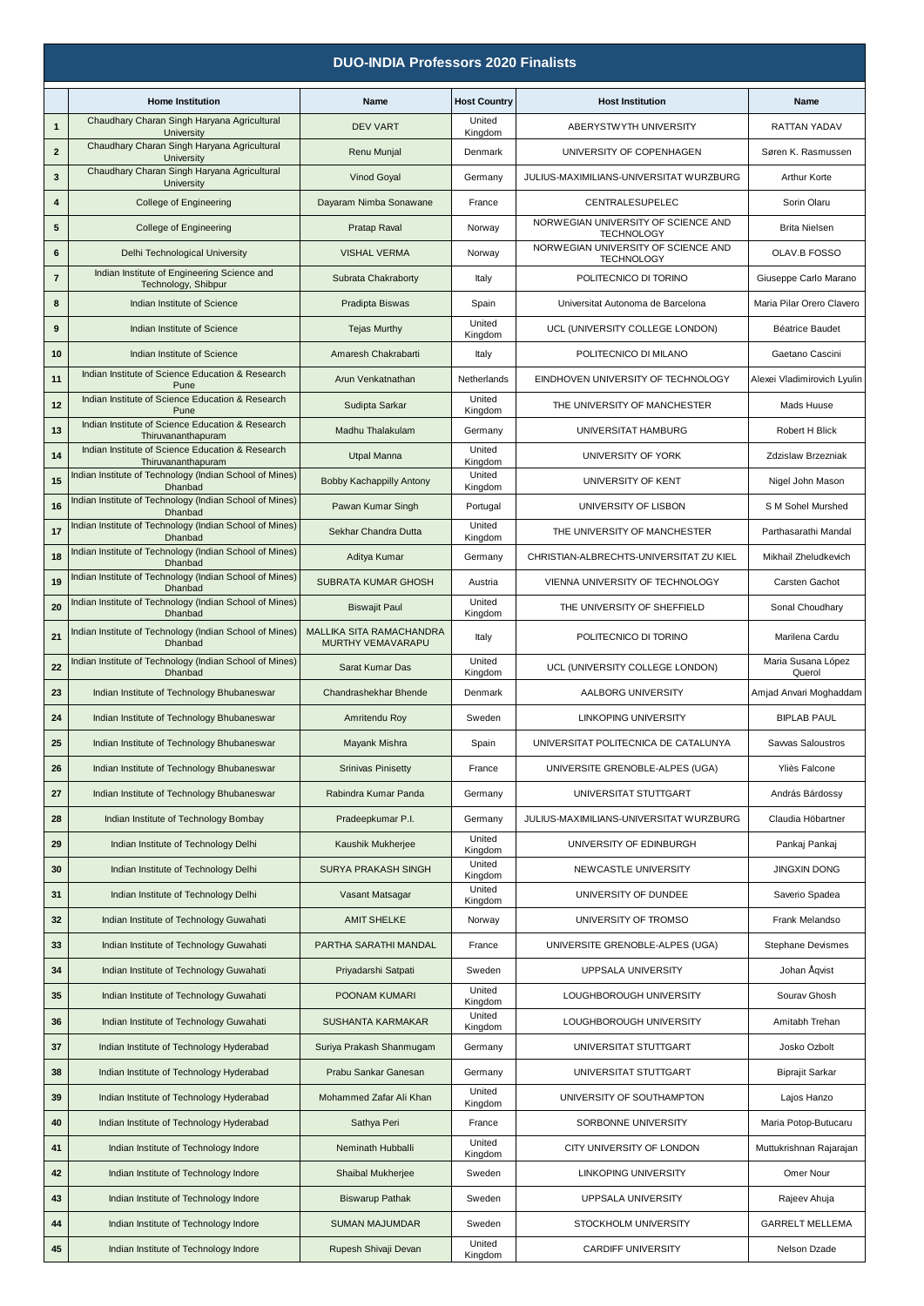| <b>DUO-INDIA Professors 2020 Finalists</b> |                                                                        |                                      |                     |                                                          |                                  |  |
|--------------------------------------------|------------------------------------------------------------------------|--------------------------------------|---------------------|----------------------------------------------------------|----------------------------------|--|
|                                            | <b>Home Institution</b>                                                | Name                                 | <b>Host Country</b> | <b>Host Institution</b>                                  | Name                             |  |
| 1                                          | Chaudhary Charan Singh Haryana Agricultural<br>University              | <b>DEV VART</b>                      | United<br>Kingdom   | ABERYSTWYTH UNIVERSITY                                   | <b>RATTAN YADAV</b>              |  |
| $\mathbf{2}$                               | Chaudhary Charan Singh Haryana Agricultural<br>University              | Renu Munjal                          | Denmark             | UNIVERSITY OF COPENHAGEN                                 | Søren K. Rasmussen               |  |
| 3                                          | Chaudhary Charan Singh Haryana Agricultural<br>University              | <b>Vinod Goyal</b>                   | Germany             | JULIUS-MAXIMILIANS-UNIVERSITAT WURZBURG                  | <b>Arthur Korte</b>              |  |
| 4                                          | <b>College of Engineering</b>                                          | Dayaram Nimba Sonawane               | France              | CENTRALESUPELEC                                          | Sorin Olaru                      |  |
| 5                                          | College of Engineering                                                 | Pratap Raval                         | Norway              | NORWEGIAN UNIVERSITY OF SCIENCE AND<br><b>TECHNOLOGY</b> | <b>Brita Nielsen</b>             |  |
| 6                                          | Delhi Technological University                                         | <b>VISHAL VERMA</b>                  | Norway              | NORWEGIAN UNIVERSITY OF SCIENCE AND<br><b>TECHNOLOGY</b> | OLAV.B FOSSO                     |  |
| $\overline{7}$                             | Indian Institute of Engineering Science and<br>Technology, Shibpur     | Subrata Chakraborty                  | Italy               | POLITECNICO DI TORINO                                    | Giuseppe Carlo Marano            |  |
| 8                                          | Indian Institute of Science                                            | Pradipta Biswas                      | Spain               | Universitat Autonoma de Barcelona                        | Maria Pilar Orero Clavero        |  |
| $\boldsymbol{9}$                           | Indian Institute of Science                                            | <b>Tejas Murthy</b>                  | United<br>Kingdom   | UCL (UNIVERSITY COLLEGE LONDON)                          | <b>Béatrice Baudet</b>           |  |
| 10                                         | Indian Institute of Science                                            | Amaresh Chakrabarti                  | Italy               | POLITECNICO DI MILANO                                    | Gaetano Cascini                  |  |
| 11                                         | Indian Institute of Science Education & Research<br>Pune               | Arun Venkatnathan                    | Netherlands         | EINDHOVEN UNIVERSITY OF TECHNOLOGY                       | Alexei Vladimirovich Lyulin      |  |
| 12                                         | Indian Institute of Science Education & Research<br>Pune               | Sudipta Sarkar                       | United<br>Kingdom   | THE UNIVERSITY OF MANCHESTER                             | Mads Huuse                       |  |
| 13                                         | Indian Institute of Science Education & Research<br>Thiruvananthapuram | Madhu Thalakulam                     | Germany             | UNIVERSITAT HAMBURG                                      | Robert H Blick                   |  |
| 14                                         | Indian Institute of Science Education & Research<br>Thiruvananthapuram | <b>Utpal Manna</b>                   | United<br>Kingdom   | UNIVERSITY OF YORK                                       | Zdzislaw Brzezniak               |  |
| 15                                         | Indian Institute of Technology (Indian School of Mines)<br>Dhanbad     | Bobby Kachappilly Antony             | United<br>Kingdom   | UNIVERSITY OF KENT                                       | Nigel John Mason                 |  |
| 16                                         | Indian Institute of Technology (Indian School of Mines)<br>Dhanbad     | Pawan Kumar Singh                    | Portugal            | UNIVERSITY OF LISBON                                     | S M Sohel Murshed                |  |
| 17                                         | Indian Institute of Technology (Indian School of Mines)<br>Dhanbad     | Sekhar Chandra Dutta                 | United<br>Kingdom   | THE UNIVERSITY OF MANCHESTER                             | Parthasarathi Mandal             |  |
| 18                                         | Indian Institute of Technology (Indian School of Mines)<br>Dhanbad     | Aditya Kumar                         | Germany             | CHRISTIAN-ALBRECHTS-UNIVERSITAT ZU KIEL                  | Mikhail Zheludkevich             |  |
| 19                                         | Indian Institute of Technology (Indian School of Mines)<br>Dhanbad     | <b>SUBRATA KUMAR GHOSH</b>           | Austria             | VIENNA UNIVERSITY OF TECHNOLOGY                          | Carsten Gachot                   |  |
| 20                                         | Indian Institute of Technology (Indian School of Mines)<br>Dhanbad     | <b>Biswajit Paul</b>                 | United<br>Kingdom   | THE UNIVERSITY OF SHEFFIELD                              | Sonal Choudhary                  |  |
| 21                                         | Indian Institute of Technology (Indian School of Mines)                | MALLIKA SITA RAMACHANDRA             | Italy               | POLITECNICO DI TORINO                                    | Marilena Cardu                   |  |
| 22                                         | Dhanbad<br>Indian Institute of Technology (Indian School of Mines)     | MURTHY VEMAVARAPU<br>Sarat Kumar Das | United              | UCL (UNIVERSITY COLLEGE LONDON)                          | Maria Susana López               |  |
| 23                                         | Dhanbad<br>Indian Institute of Technology Bhubaneswar                  | Chandrashekhar Bhende                | Kingdom<br>Denmark  | AALBORG UNIVERSITY                                       | Querol<br>Amjad Anvari Moghaddam |  |
| 24                                         | Indian Institute of Technology Bhubaneswar                             | Amritendu Roy                        | Sweden              | <b>LINKOPING UNIVERSITY</b>                              | <b>BIPLAB PAUL</b>               |  |
| 25                                         | Indian Institute of Technology Bhubaneswar                             | Mayank Mishra                        | Spain               | UNIVERSITAT POLITECNICA DE CATALUNYA                     | Savvas Saloustros                |  |
| 26                                         | Indian Institute of Technology Bhubaneswar                             | <b>Srinivas Pinisetty</b>            | France              | UNIVERSITE GRENOBLE-ALPES (UGA)                          | Yliès Falcone                    |  |
| 27                                         | Indian Institute of Technology Bhubaneswar                             | Rabindra Kumar Panda                 | Germany             | UNIVERSITAT STUTTGART                                    | András Bárdossy                  |  |
| 28                                         | Indian Institute of Technology Bombay                                  | Pradeepkumar P.I.                    | Germany             | JULIUS-MAXIMILIANS-UNIVERSITAT WURZBURG                  | Claudia Höbartner                |  |
| 29                                         | Indian Institute of Technology Delhi                                   | Kaushik Mukherjee                    | United              | UNIVERSITY OF EDINBURGH                                  | Pankaj Pankaj                    |  |
| 30                                         | Indian Institute of Technology Delhi                                   | <b>SURYA PRAKASH SINGH</b>           | Kingdom<br>United   | NEWCASTLE UNIVERSITY                                     | <b>JINGXIN DONG</b>              |  |
| 31                                         | Indian Institute of Technology Delhi                                   | Vasant Matsagar                      | Kingdom<br>United   | UNIVERSITY OF DUNDEE                                     | Saverio Spadea                   |  |
| 32                                         | Indian Institute of Technology Guwahati                                | <b>AMIT SHELKE</b>                   | Kingdom<br>Norway   | UNIVERSITY OF TROMSO                                     | Frank Melandso                   |  |
| 33                                         | Indian Institute of Technology Guwahati                                | PARTHA SARATHI MANDAL                | France              | UNIVERSITE GRENOBLE-ALPES (UGA)                          | <b>Stephane Devismes</b>         |  |
| 34                                         | Indian Institute of Technology Guwahati                                | Priyadarshi Satpati                  | Sweden              | UPPSALA UNIVERSITY                                       | Johan Äqvist                     |  |
| 35                                         | Indian Institute of Technology Guwahati                                | POONAM KUMARI                        | United              | LOUGHBOROUGH UNIVERSITY                                  | Sourav Ghosh                     |  |
| 36                                         | Indian Institute of Technology Guwahati                                | SUSHANTA KARMAKAR                    | Kingdom<br>United   | LOUGHBOROUGH UNIVERSITY                                  | Amitabh Trehan                   |  |
| 37                                         | Indian Institute of Technology Hyderabad                               | Suriya Prakash Shanmugam             | Kingdom<br>Germany  | UNIVERSITAT STUTTGART                                    | Josko Ozbolt                     |  |
| 38                                         | Indian Institute of Technology Hyderabad                               | Prabu Sankar Ganesan                 | Germany             | UNIVERSITAT STUTTGART                                    | <b>Biprajit Sarkar</b>           |  |
| 39                                         | Indian Institute of Technology Hyderabad                               | Mohammed Zafar Ali Khan              | United<br>Kingdom   | UNIVERSITY OF SOUTHAMPTON                                | Lajos Hanzo                      |  |
| 40                                         | Indian Institute of Technology Hyderabad                               | Sathya Peri                          | France              | SORBONNE UNIVERSITY                                      | Maria Potop-Butucaru             |  |
| 41                                         | Indian Institute of Technology Indore                                  | Neminath Hubballi                    | United<br>Kingdom   | CITY UNIVERSITY OF LONDON                                | Muttukrishnan Rajarajan          |  |
| 42                                         | Indian Institute of Technology Indore                                  | Shaibal Mukherjee                    | Sweden              | <b>LINKOPING UNIVERSITY</b>                              | Omer Nour                        |  |
| 43                                         | Indian Institute of Technology Indore                                  | <b>Biswarup Pathak</b>               | Sweden              | UPPSALA UNIVERSITY                                       | Rajeev Ahuja                     |  |
| 44                                         | Indian Institute of Technology Indore                                  | <b>SUMAN MAJUMDAR</b>                | Sweden              | STOCKHOLM UNIVERSITY                                     | <b>GARRELT MELLEMA</b>           |  |
| 45                                         | Indian Institute of Technology Indore                                  | Rupesh Shivaji Devan                 | United<br>Kingdom   | CARDIFF UNIVERSITY                                       | Nelson Dzade                     |  |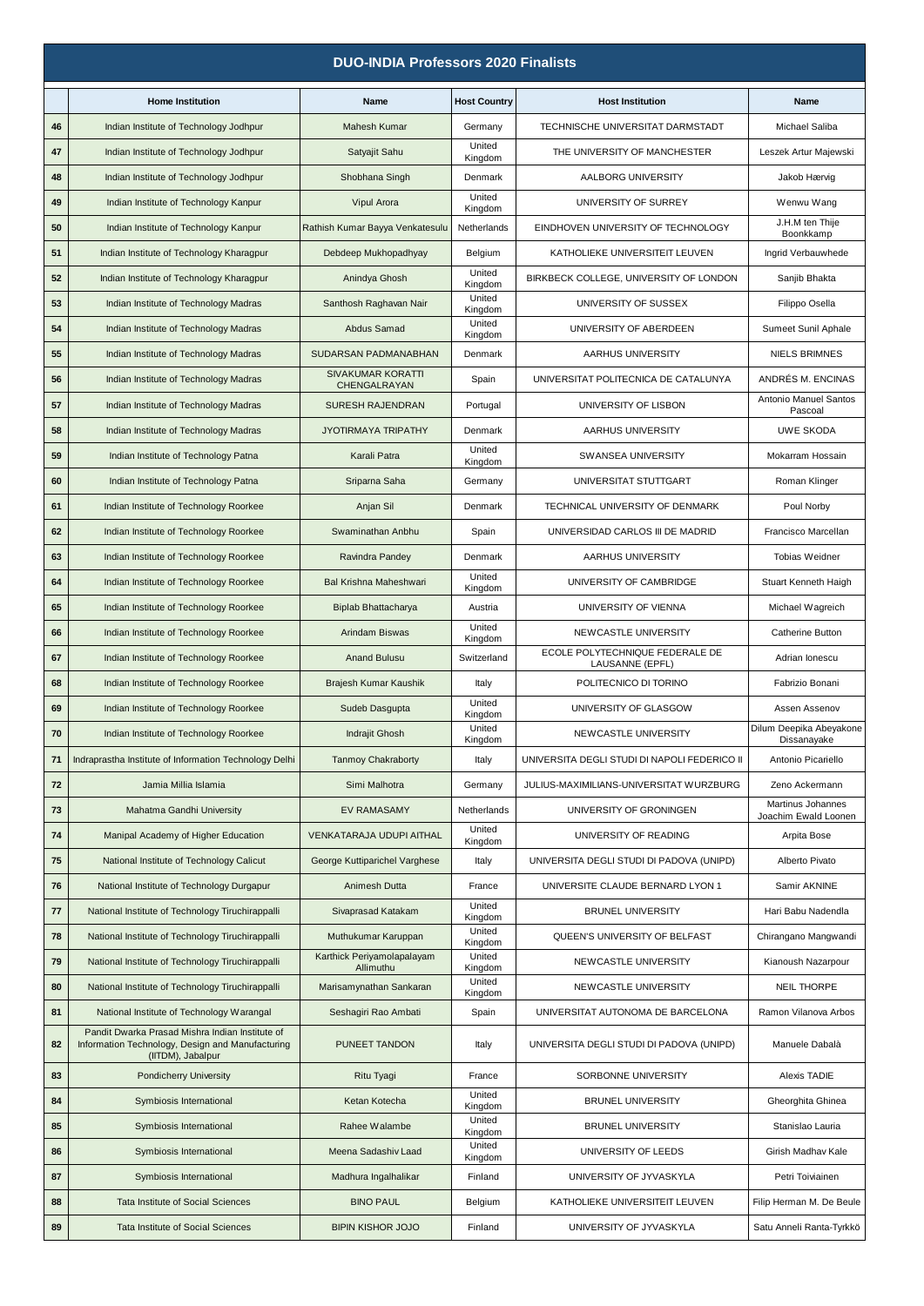|    | <b>DUO-INDIA Professors 2020 Finalists</b>                                                                               |                                          |                     |                                                    |                                           |  |  |
|----|--------------------------------------------------------------------------------------------------------------------------|------------------------------------------|---------------------|----------------------------------------------------|-------------------------------------------|--|--|
|    | <b>Home Institution</b>                                                                                                  | Name                                     | <b>Host Country</b> | <b>Host Institution</b>                            | Name                                      |  |  |
| 46 | Indian Institute of Technology Jodhpur                                                                                   | Mahesh Kumar                             | Germany             | TECHNISCHE UNIVERSITAT DARMSTADT                   | Michael Saliba                            |  |  |
| 47 | Indian Institute of Technology Jodhpur                                                                                   | Satyajit Sahu                            | United<br>Kingdom   | THE UNIVERSITY OF MANCHESTER                       | Leszek Artur Majewski                     |  |  |
| 48 | Indian Institute of Technology Jodhpur                                                                                   | Shobhana Singh                           | Denmark             | AALBORG UNIVERSITY                                 | Jakob Hærvig                              |  |  |
| 49 | Indian Institute of Technology Kanpur                                                                                    | Vipul Arora                              | United<br>Kingdom   | UNIVERSITY OF SURREY                               | Wenwu Wang                                |  |  |
| 50 | Indian Institute of Technology Kanpur                                                                                    | Rathish Kumar Bayya Venkatesulu          | Netherlands         | EINDHOVEN UNIVERSITY OF TECHNOLOGY                 | J.H.M ten Thije<br>Boonkkamp              |  |  |
| 51 | Indian Institute of Technology Kharagpur                                                                                 | Debdeep Mukhopadhyay                     | Belgium             | KATHOLIEKE UNIVERSITEIT LEUVEN                     | Ingrid Verbauwhede                        |  |  |
| 52 | Indian Institute of Technology Kharagpur                                                                                 | Anindya Ghosh                            | United<br>Kingdom   | BIRKBECK COLLEGE, UNIVERSITY OF LONDON             | Sanjib Bhakta                             |  |  |
| 53 | Indian Institute of Technology Madras                                                                                    | Santhosh Raghavan Nair                   | United<br>Kingdom   | UNIVERSITY OF SUSSEX                               | Filippo Osella                            |  |  |
| 54 | Indian Institute of Technology Madras                                                                                    | Abdus Samad                              | United<br>Kingdom   | UNIVERSITY OF ABERDEEN                             | Sumeet Sunil Aphale                       |  |  |
| 55 | Indian Institute of Technology Madras                                                                                    | <b>SUDARSAN PADMANABHAN</b>              | Denmark             | AARHUS UNIVERSITY                                  | <b>NIELS BRIMNES</b>                      |  |  |
| 56 | Indian Institute of Technology Madras                                                                                    | <b>SIVAKUMAR KORATTI</b><br>CHENGALRAYAN | Spain               | UNIVERSITAT POLITECNICA DE CATALUNYA               | ANDRÉS M. ENCINAS                         |  |  |
| 57 | Indian Institute of Technology Madras                                                                                    | <b>SURESH RAJENDRAN</b>                  | Portugal            | UNIVERSITY OF LISBON                               | Antonio Manuel Santos<br>Pascoal          |  |  |
| 58 | Indian Institute of Technology Madras                                                                                    | <b>JYOTIRMAYA TRIPATHY</b>               | Denmark             | AARHUS UNIVERSITY                                  | UWE SKODA                                 |  |  |
| 59 | Indian Institute of Technology Patna                                                                                     | Karali Patra                             | United<br>Kingdom   | <b>SWANSEA UNIVERSITY</b>                          | Mokarram Hossain                          |  |  |
| 60 | Indian Institute of Technology Patna                                                                                     | Sriparna Saha                            | Germany             | UNIVERSITAT STUTTGART                              | Roman Klinger                             |  |  |
| 61 | Indian Institute of Technology Roorkee                                                                                   | Anjan Sil                                | Denmark             | TECHNICAL UNIVERSITY OF DENMARK                    | Poul Norby                                |  |  |
| 62 | Indian Institute of Technology Roorkee                                                                                   | Swaminathan Anbhu                        | Spain               | UNIVERSIDAD CARLOS III DE MADRID                   | Francisco Marcellan                       |  |  |
| 63 | Indian Institute of Technology Roorkee                                                                                   | Ravindra Pandey                          | Denmark             | AARHUS UNIVERSITY                                  | Tobias Weidner                            |  |  |
| 64 | Indian Institute of Technology Roorkee                                                                                   | Bal Krishna Maheshwari                   | United<br>Kingdom   | UNIVERSITY OF CAMBRIDGE                            | Stuart Kenneth Haigh                      |  |  |
| 65 | Indian Institute of Technology Roorkee                                                                                   | Biplab Bhattacharya                      | Austria             | UNIVERSITY OF VIENNA                               | Michael Wagreich                          |  |  |
| 66 | Indian Institute of Technology Roorkee                                                                                   | Arindam Biswas                           | United<br>Kingdom   | NEWCASTLE UNIVERSITY                               | Catherine Button                          |  |  |
| 67 | Indian Institute of Technology Roorkee                                                                                   | <b>Anand Bulusu</b>                      | Switzerland         | ECOLE POLYTECHNIQUE FEDERALE DE<br>LAUSANNE (EPFL) | Adrian Ionescu                            |  |  |
| 68 | Indian Institute of Technology Roorkee                                                                                   | Brajesh Kumar Kaushik                    | Italy               | POLITECNICO DI TORINO                              | Fabrizio Bonani                           |  |  |
| 69 | Indian Institute of Technology Roorkee                                                                                   | Sudeb Dasgupta                           | United<br>Kingdom   | UNIVERSITY OF GLASGOW                              | Assen Assenov                             |  |  |
|    | Indian Institute of Technology Roorkee                                                                                   | Indrajit Ghosh                           | United<br>Kingdom   | NEWCASTLE UNIVERSITY                               | Dilum Deepika Abeyakone<br>Dissanayake    |  |  |
| 71 | Indraprastha Institute of Information Technology Delhi                                                                   | <b>Tanmoy Chakraborty</b>                | Italy               | UNIVERSITA DEGLI STUDI DI NAPOLI FEDERICO II       | Antonio Picariello                        |  |  |
| 72 | Jamia Millia Islamia                                                                                                     | Simi Malhotra                            | Germany             | JULIUS-MAXIMILIANS-UNIVERSITAT WURZBURG            | Zeno Ackermann                            |  |  |
| 73 | Mahatma Gandhi University                                                                                                | <b>EV RAMASAMY</b>                       | Netherlands         | UNIVERSITY OF GRONINGEN                            | Martinus Johannes<br>Joachim Ewald Loonen |  |  |
| 74 | Manipal Academy of Higher Education                                                                                      | VENKATARAJA UDUPI AITHAL                 | United<br>Kingdom   | UNIVERSITY OF READING                              | Arpita Bose                               |  |  |
| 75 | National Institute of Technology Calicut                                                                                 | George Kuttiparichel Varghese            | Italy               | UNIVERSITA DEGLI STUDI DI PADOVA (UNIPD)           | Alberto Pivato                            |  |  |
| 76 | National Institute of Technology Durgapur                                                                                | Animesh Dutta                            | France              | UNIVERSITE CLAUDE BERNARD LYON 1                   | Samir AKNINE                              |  |  |
| 77 | National Institute of Technology Tiruchirappalli                                                                         | Sivaprasad Katakam                       | United<br>Kingdom   | <b>BRUNEL UNIVERSITY</b>                           | Hari Babu Nadendla                        |  |  |
| 78 | National Institute of Technology Tiruchirappalli                                                                         | Muthukumar Karuppan                      | United<br>Kingdom   | QUEEN'S UNIVERSITY OF BELFAST                      | Chirangano Mangwandi                      |  |  |
| 79 | National Institute of Technology Tiruchirappalli                                                                         | Karthick Periyamolapalayam<br>Allimuthu  | United<br>Kingdom   | NEWCASTLE UNIVERSITY                               | Kianoush Nazarpour                        |  |  |
| 80 | National Institute of Technology Tiruchirappalli                                                                         | Marisamynathan Sankaran                  | United<br>Kingdom   | NEWCASTLE UNIVERSITY                               | <b>NEIL THORPE</b>                        |  |  |
| 81 | National Institute of Technology Warangal                                                                                | Seshagiri Rao Ambati                     | Spain               | UNIVERSITAT AUTONOMA DE BARCELONA                  | Ramon Vilanova Arbos                      |  |  |
| 82 | Pandit Dwarka Prasad Mishra Indian Institute of<br>Information Technology, Design and Manufacturing<br>(IITDM), Jabalpur | PUNEET TANDON                            | Italy               | UNIVERSITA DEGLI STUDI DI PADOVA (UNIPD)           | Manuele Dabalà                            |  |  |
| 83 | <b>Pondicherry University</b>                                                                                            | Ritu Tyagi                               | France              | SORBONNE UNIVERSITY                                | Alexis TADIE                              |  |  |
| 84 | Symbiosis International                                                                                                  | Ketan Kotecha                            | United<br>Kingdom   | <b>BRUNEL UNIVERSITY</b>                           | Gheorghita Ghinea                         |  |  |
| 85 | Symbiosis International                                                                                                  | Rahee Walambe                            | United<br>Kingdom   | <b>BRUNEL UNIVERSITY</b>                           | Stanislao Lauria                          |  |  |
| 86 | Symbiosis International                                                                                                  | Meena Sadashiv Laad                      | United<br>Kingdom   | UNIVERSITY OF LEEDS                                | Girish Madhav Kale                        |  |  |
| 87 | Symbiosis International                                                                                                  | Madhura Ingalhalikar                     | Finland             | UNIVERSITY OF JYVASKYLA                            | Petri Toiviainen                          |  |  |
| 88 | Tata Institute of Social Sciences                                                                                        | <b>BINO PAUL</b>                         | Belgium             | KATHOLIEKE UNIVERSITEIT LEUVEN                     | Filip Herman M. De Beule                  |  |  |
| 89 | Tata Institute of Social Sciences                                                                                        | <b>BIPIN KISHOR JOJO</b>                 | Finland             | UNIVERSITY OF JYVASKYLA                            | Satu Anneli Ranta-Tyrkkö                  |  |  |